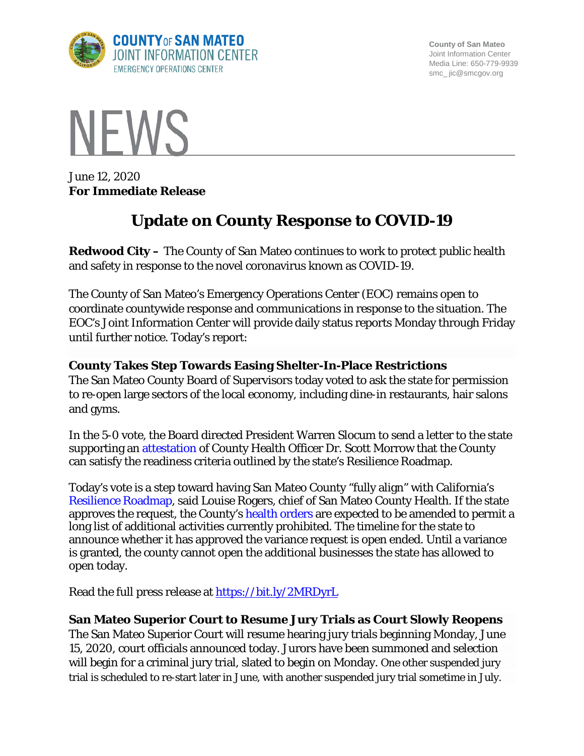

**County of San Mateo** Joint Information Center Media Line: 650-779-9939 smc\_ jic@smcgov.org



June 12, 2020 **For Immediate Release**

# **Update on County Response to COVID-19**

**Redwood City –** The County of San Mateo continues to work to protect public health and safety in response to the novel coronavirus known as COVID-19.

The County of San Mateo's Emergency Operations Center (EOC) remains open to coordinate countywide response and communications in response to the situation. The EOC's Joint Information Center will provide daily status reports Monday through Friday until further notice. Today's report:

### **County Takes Step Towards Easing Shelter-In-Place Restrictions**

The San Mateo County Board of Supervisors today voted to ask the state for permission to re-open large sectors of the local economy, including dine-in restaurants, hair salons and gyms.

In the 5-0 vote, the Board directed President Warren Slocum to send a letter to the state supporting an attestation of County Health Officer Dr. Scott Morrow that the County can satisfy the readiness criteria outlined by the state's Resilience Roadmap.

Today's vote is a step toward having San Mateo County "fully align" with California's Resilience Roadmap, said Louise Rogers, chief of San Mateo County Health. If the state approves the request, the County's health orders are expected to be amended to permit a long list of additional activities currently prohibited. The timeline for the state to announce whether it has approved the variance request is open ended. Until a variance is granted, the county cannot open the additional businesses the state has allowed to open today.

Read the full press release at <https://bit.ly/2MRDyrL>

## **San Mateo Superior Court to Resume Jury Trials as Court Slowly Reopens**

The San Mateo Superior Court will resume hearing jury trials beginning Monday, June 15, 2020, court officials announced today. Jurors have been summoned and selection will begin for a criminal jury trial, slated to begin on Monday. One other suspended jury trial is scheduled to re-start later in June, with another suspended jury trial sometime in July.